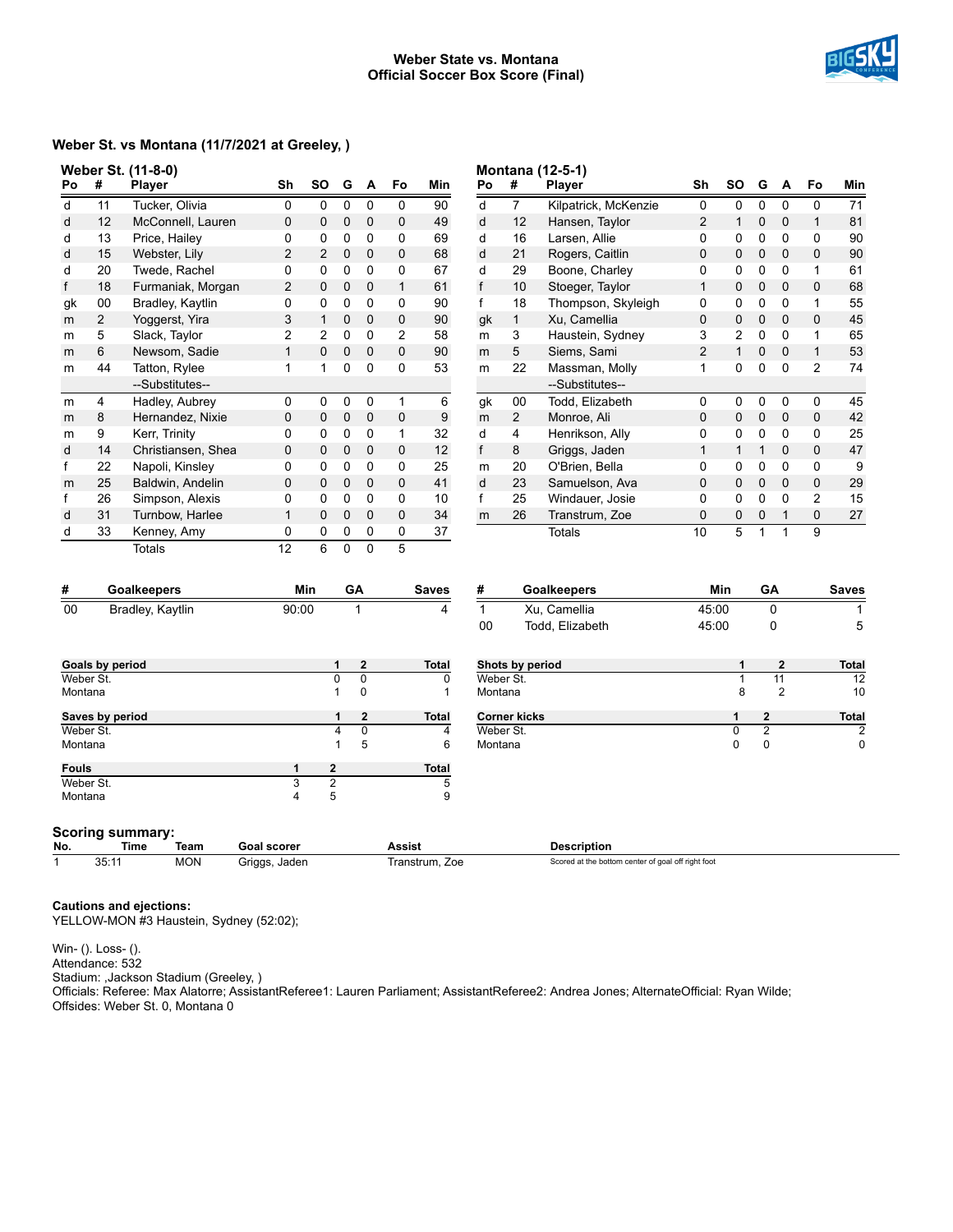#### **Weber State vs. Montana Official Soccer Box Score (Final)**



# **Weber St. vs Montana (11/7/2021 at Greeley, )**

|    |                | Weber St. (11-8-0) |                |                |             |   |                |     |              |                | <b>Montana (12-5-1)</b> |
|----|----------------|--------------------|----------------|----------------|-------------|---|----------------|-----|--------------|----------------|-------------------------|
| Po | #              | <b>Player</b>      | Sh             | SO             | G           | A | Fo             | Min | Po           | #              | Player                  |
| d  | 11             | Tucker, Olivia     | 0              | 0              | $\Omega$    | 0 | 0              | 90  | d            | 7              | Kilpatrio               |
| d  | 12             | McConnell, Lauren  | 0              | 0              | 0           | 0 | $\mathbf 0$    | 49  | d            | 12             | Hansen                  |
| d  | 13             | Price, Hailey      | 0              | 0              | 0           | 0 | 0              | 69  | d            | 16             | Larsen,                 |
| d  | 15             | Webster, Lily      | 2              | $\overline{2}$ | 0           | 0 | $\mathbf 0$    | 68  | d            | 21             | Rogers                  |
| d  | 20             | Twede, Rachel      | 0              | 0              | 0           | 0 | 0              | 67  | d            | 29             | Boone,                  |
| f  | 18             | Furmaniak, Morgan  | $\overline{2}$ | 0              | 0           | 0 | 1              | 61  | f            | 10             | Stoeger                 |
| gk | 00             | Bradley, Kaytlin   | 0              | 0              | 0           | 0 | 0              | 90  | f            | 18             | Thomps                  |
| m  | $\overline{2}$ | Yoggerst, Yira     | 3              | 1              | 0           | 0 | $\mathbf 0$    | 90  | gk           | 1              | Xu, Car                 |
| m  | 5              | Slack, Taylor      | $\overline{2}$ | $\overline{2}$ | 0           | 0 | $\overline{2}$ | 58  | m            | 3              | Haustei                 |
| m  | 6              | Newsom, Sadie      | $\mathbf{1}$   | 0              | $\Omega$    | 0 | 0              | 90  | m            | 5              | Siems,                  |
| m  | 44             | Tatton, Rylee      | 1              | 1              | 0           | 0 | 0              | 53  | m            | 22             | Massm                   |
|    |                | --Substitutes--    |                |                |             |   |                |     |              |                | --Substi                |
| m  | 4              | Hadley, Aubrey     | 0              | 0              | 0           | 0 | 1              | 6   | gk           | 00             | Todd, E                 |
| m  | 8              | Hernandez, Nixie   | 0              | 0              | $\mathbf 0$ | 0 | $\mathbf 0$    | 9   | m            | $\overline{2}$ | Monroe                  |
| m  | 9              | Kerr, Trinity      | 0              | 0              | $\Omega$    | 0 | 1              | 32  | d            | 4              | Henriks                 |
| d  | 14             | Christiansen, Shea | 0              | 0              | 0           | 0 | $\mathbf 0$    | 12  | $\mathsf{f}$ | 8              | Griggs,                 |
| f  | 22             | Napoli, Kinsley    | 0              | 0              | 0           | 0 | 0              | 25  | m            | 20             | O'Brien                 |
| m  | 25             | Baldwin, Andelin   | 0              | 0              | 0           | 0 | $\mathbf 0$    | 41  | d            | 23             | Samuel                  |
| f  | 26             | Simpson, Alexis    | 0              | 0              | 0           | 0 | 0              | 10  | f            | 25             | Windau                  |
| d  | 31             | Turnbow, Harlee    | $\mathbf{1}$   | 0              | $\Omega$    | 0 | $\mathbf 0$    | 34  | m            | 26             | Transtru                |
| d  | 33             | Kenney, Amy        | 0              | 0              | 0           | 0 | 0              | 37  |              |                | Totals                  |
|    |                | Totals             | 12             | 6              | 0           | 0 | 5              |     |              |                |                         |

| Po | #  | Player               | Sh | SΟ | G | A | Fo | Min |
|----|----|----------------------|----|----|---|---|----|-----|
| d  | 7  | Kilpatrick, McKenzie | 0  | 0  | 0 | 0 | 0  | 71  |
| d  | 12 | Hansen, Taylor       | 2  | 1  | 0 | 0 | 1  | 81  |
| d  | 16 | Larsen, Allie        | 0  | 0  | 0 | 0 | 0  | 90  |
| d  | 21 | Rogers, Caitlin      | 0  | 0  | 0 | 0 | 0  | 90  |
| d  | 29 | Boone, Charley       | 0  | 0  | 0 | 0 | 1  | 61  |
| f  | 10 | Stoeger, Taylor      | 1  | 0  | 0 | 0 | 0  | 68  |
| f  | 18 | Thompson, Skyleigh   | 0  | 0  | 0 | 0 | 1  | 55  |
| gk | 1  | Xu, Camellia         | 0  | 0  | 0 | 0 | 0  | 45  |
| m  | 3  | Haustein, Sydney     | 3  | 2  | 0 | 0 | 1  | 65  |
| m  | 5  | Siems, Sami          | 2  | 1  | 0 | 0 | 1  | 53  |
| m  | 22 | Massman, Molly       | 1  | 0  | 0 | 0 | 2  | 74  |
|    |    | --Substitutes--      |    |    |   |   |    |     |
| gk | 00 | Todd, Elizabeth      | 0  | 0  | 0 | 0 | 0  | 45  |
| m  | 2  | Monroe, Ali          | 0  | 0  | 0 | 0 | 0  | 42  |
| d  | 4  | Henrikson, Ally      | 0  | 0  | 0 | 0 | 0  | 25  |
| f  | 8  | Griggs, Jaden        | 1  | 1  | 1 | 0 | 0  | 47  |
| m  | 20 | O'Brien, Bella       | 0  | 0  | 0 | 0 | 0  | 9   |
| d  | 23 | Samuelson, Ava       | 0  | 0  | 0 | 0 | 0  | 29  |
| f  | 25 | Windauer, Josie      | 0  | 0  | 0 | 0 | 2  | 15  |
| m  | 26 | Transtrum, Zoe       | 0  | 0  | 0 | 1 | 0  | 27  |
|    |    | Totals               | 10 | 5  | 1 | 1 | 9  |     |

|     | <b>Goalkeepers</b> | Min   | GΑ | <b>Saves</b> |
|-----|--------------------|-------|----|--------------|
| -00 | Bradley, Kaytlin   | 90:00 |    |              |

| #  | <b>Goalkeepers</b> | Min   | GΑ | <b>Saves</b> |
|----|--------------------|-------|----|--------------|
|    | Xu. Camellia       | 45:00 |    |              |
| 00 | Todd. Elizabeth    | 45:00 |    |              |

| Goals by period  |   |                | $\overline{2}$ | <b>Total</b> | Shots by period     |   | $\mathbf{2}$   | <b>Total</b> |
|------------------|---|----------------|----------------|--------------|---------------------|---|----------------|--------------|
| Weber St.        |   |                | 0              |              | Weber St.           |   | 11             | 12           |
| Montana          |   |                | 0              |              | Montana             | 8 | $\overline{2}$ | 10           |
| Saves by period  |   |                | $\mathbf{2}$   | <b>Total</b> | <b>Corner kicks</b> |   | $\overline{2}$ | <b>Total</b> |
| Weber St.        |   | 4              |                |              | Weber St.           |   | っ              | 2            |
| Montana          |   |                | 5              | 6            | Montana             | 0 | 0              | 0            |
| <b>Fouls</b>     |   | $\overline{2}$ |                | <b>Total</b> |                     |   |                |              |
| Weber St.        |   | ົ              |                | 5            |                     |   |                |              |
| Montana          | 4 | 5              |                | 9            |                     |   |                |              |
| Scoring summary: |   |                |                |              |                     |   |                |              |

| No. | Time                 | Team       | <b>Goal scorer</b>          | Assist                   | <b>Description</b>                                 |
|-----|----------------------|------------|-----------------------------|--------------------------|----------------------------------------------------|
|     | 0.5.4<br>๋<br>ັບປ. ເ | <b>MON</b> | Jaden<br>Griggs.<br>$\cdot$ | ≀ranstrum.<br>. Zoe<br>. | Scored at the bottom center of goal off right foot |

**Cautions and ejections:**

YELLOW-MON #3 Haustein, Sydney (52:02);

Win- (). Loss- (). Attendance: 532 Stadium: ,Jackson Stadium (Greeley, ) Officials: Referee: Max Alatorre; AssistantReferee1: Lauren Parliament; AssistantReferee2: Andrea Jones; AlternateOfficial: Ryan Wilde; Offsides: Weber St. 0, Montana 0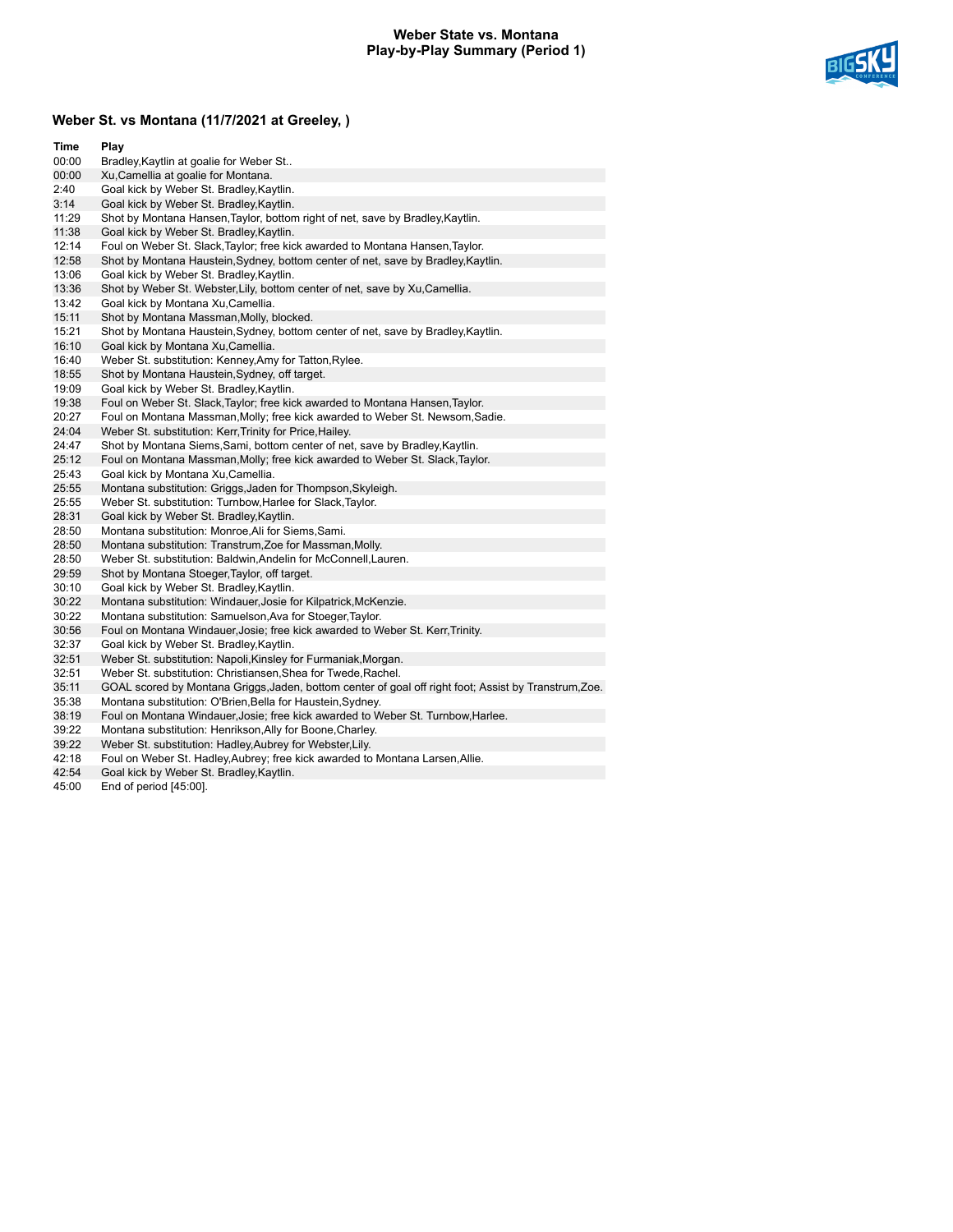### **Weber State vs. Montana Play-by-Play Summary (Period 1)**



# **Weber St. vs Montana (11/7/2021 at Greeley, )**

| Time  | Play                                                                                                  |
|-------|-------------------------------------------------------------------------------------------------------|
| 00:00 | Bradley, Kaytlin at goalie for Weber St                                                               |
| 00:00 | Xu, Camellia at goalie for Montana.                                                                   |
| 2:40  | Goal kick by Weber St. Bradley, Kaytlin.                                                              |
| 3:14  | Goal kick by Weber St. Bradley, Kaytlin.                                                              |
| 11:29 | Shot by Montana Hansen, Taylor, bottom right of net, save by Bradley, Kaytlin.                        |
| 11:38 | Goal kick by Weber St. Bradley, Kaytlin.                                                              |
| 12:14 | Foul on Weber St. Slack, Taylor; free kick awarded to Montana Hansen, Taylor.                         |
| 12:58 | Shot by Montana Haustein, Sydney, bottom center of net, save by Bradley, Kaytlin.                     |
| 13:06 | Goal kick by Weber St. Bradley, Kaytlin.                                                              |
| 13:36 | Shot by Weber St. Webster, Lily, bottom center of net, save by Xu, Camellia.                          |
| 13:42 | Goal kick by Montana Xu, Camellia.                                                                    |
| 15:11 | Shot by Montana Massman, Molly, blocked.                                                              |
| 15:21 | Shot by Montana Haustein, Sydney, bottom center of net, save by Bradley, Kaytlin.                     |
| 16:10 | Goal kick by Montana Xu, Camellia.                                                                    |
| 16:40 | Weber St. substitution: Kenney, Amy for Tatton, Rylee.                                                |
| 18:55 | Shot by Montana Haustein, Sydney, off target.                                                         |
| 19:09 | Goal kick by Weber St. Bradley, Kaytlin.                                                              |
| 19:38 | Foul on Weber St. Slack, Taylor; free kick awarded to Montana Hansen, Taylor.                         |
| 20:27 | Foul on Montana Massman, Molly; free kick awarded to Weber St. Newsom, Sadie.                         |
| 24:04 | Weber St. substitution: Kerr, Trinity for Price, Hailey.                                              |
| 24:47 | Shot by Montana Siems, Sami, bottom center of net, save by Bradley, Kaytlin.                          |
| 25:12 | Foul on Montana Massman, Molly; free kick awarded to Weber St. Slack, Taylor.                         |
| 25:43 | Goal kick by Montana Xu, Camellia.                                                                    |
| 25:55 | Montana substitution: Griggs, Jaden for Thompson, Skyleigh.                                           |
| 25:55 | Weber St. substitution: Turnbow, Harlee for Slack, Taylor.                                            |
| 28:31 | Goal kick by Weber St. Bradley, Kaytlin.                                                              |
| 28:50 | Montana substitution: Monroe, Ali for Siems, Sami.                                                    |
| 28:50 | Montana substitution: Transtrum, Zoe for Massman, Molly.                                              |
| 28:50 | Weber St. substitution: Baldwin, Andelin for McConnell, Lauren.                                       |
| 29:59 | Shot by Montana Stoeger, Taylor, off target.                                                          |
| 30:10 | Goal kick by Weber St. Bradley, Kaytlin.                                                              |
| 30:22 | Montana substitution: Windauer, Josie for Kilpatrick, McKenzie.                                       |
| 30:22 | Montana substitution: Samuelson, Ava for Stoeger, Taylor.                                             |
| 30:56 | Foul on Montana Windauer, Josie; free kick awarded to Weber St. Kerr, Trinity.                        |
| 32:37 | Goal kick by Weber St. Bradley, Kaytlin.                                                              |
| 32:51 | Weber St. substitution: Napoli, Kinsley for Furmaniak, Morgan.                                        |
| 32:51 | Weber St. substitution: Christiansen, Shea for Twede, Rachel.                                         |
| 35:11 | GOAL scored by Montana Griggs, Jaden, bottom center of goal off right foot; Assist by Transtrum, Zoe. |
| 35:38 | Montana substitution: O'Brien, Bella for Haustein, Sydney.                                            |
| 38:19 | Foul on Montana Windauer, Josie; free kick awarded to Weber St. Turnbow, Harlee.                      |
| 39:22 | Montana substitution: Henrikson, Ally for Boone, Charley.                                             |
| 39:22 | Weber St. substitution: Hadley, Aubrey for Webster, Lily.                                             |

42:18 Foul on Weber St. Hadley,Aubrey; free kick awarded to Montana Larsen,Allie.

- 42:54 Goal kick by Weber St. Bradley,Kaytlin.
- 45:00 End of period [45:00].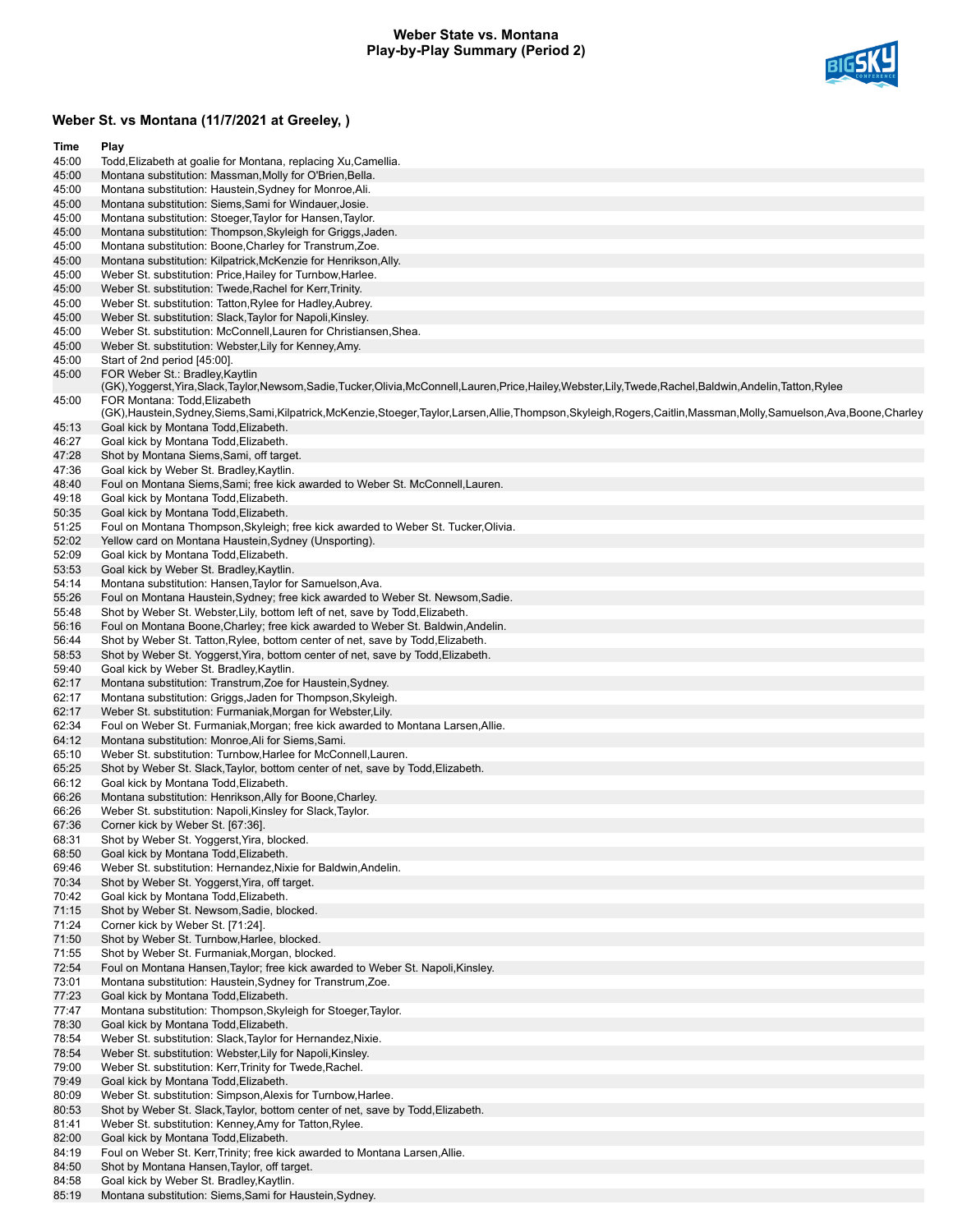### **Weber State vs. Montana Play-by-Play Summary (Period 2)**



# **Weber St. vs Montana (11/7/2021 at Greeley, )**

| Time           | Play                                                                                                                                                                                                                                   |
|----------------|----------------------------------------------------------------------------------------------------------------------------------------------------------------------------------------------------------------------------------------|
| 45:00          | Todd, Elizabeth at goalie for Montana, replacing Xu, Camellia.                                                                                                                                                                         |
| 45:00          | Montana substitution: Massman, Molly for O'Brien, Bella.                                                                                                                                                                               |
| 45:00          | Montana substitution: Haustein, Sydney for Monroe, Ali.                                                                                                                                                                                |
| 45:00          | Montana substitution: Siems, Sami for Windauer, Josie.                                                                                                                                                                                 |
| 45:00<br>45:00 | Montana substitution: Stoeger, Taylor for Hansen, Taylor.<br>Montana substitution: Thompson, Skyleigh for Griggs, Jaden.                                                                                                               |
| 45:00          | Montana substitution: Boone, Charley for Transtrum, Zoe.                                                                                                                                                                               |
| 45:00          | Montana substitution: Kilpatrick, McKenzie for Henrikson, Ally.                                                                                                                                                                        |
| 45:00          | Weber St. substitution: Price, Hailey for Turnbow, Harlee.                                                                                                                                                                             |
| 45:00          | Weber St. substitution: Twede, Rachel for Kerr, Trinity.                                                                                                                                                                               |
| 45:00          | Weber St. substitution: Tatton, Rylee for Hadley, Aubrey.                                                                                                                                                                              |
| 45:00          | Weber St. substitution: Slack, Taylor for Napoli, Kinsley.                                                                                                                                                                             |
| 45:00          | Weber St. substitution: McConnell, Lauren for Christiansen, Shea.                                                                                                                                                                      |
| 45:00          | Weber St. substitution: Webster, Lily for Kenney, Amy.                                                                                                                                                                                 |
| 45:00          | Start of 2nd period [45:00].                                                                                                                                                                                                           |
| 45:00<br>45:00 | FOR Weber St.: Bradley, Kaytlin<br>(GK), Yoggerst, Yira, Slack, Taylor, Newsom, Sadie, Tucker, Olivia, McConnell, Lauren, Price, Hailey, Webster, Lily, Twede, Rachel, Baldwin, Andelin, Tatton, Rylee<br>FOR Montana: Todd, Elizabeth |
|                | (GK),Haustein,Sydney,Siems,Sami,Kilpatrick,McKenzie,Stoeger,Taylor,Larsen,Allie,Thompson,Skyleigh,Rogers,Caitlin,Massman,Molly,Samuelson,Ava,Boone,Charley                                                                             |
| 45:13          | Goal kick by Montana Todd, Elizabeth.                                                                                                                                                                                                  |
| 46:27          | Goal kick by Montana Todd, Elizabeth.                                                                                                                                                                                                  |
| 47:28          | Shot by Montana Siems, Sami, off target.                                                                                                                                                                                               |
| 47:36          | Goal kick by Weber St. Bradley, Kaytlin.                                                                                                                                                                                               |
| 48:40          | Foul on Montana Siems, Sami; free kick awarded to Weber St. McConnell, Lauren.                                                                                                                                                         |
| 49:18          | Goal kick by Montana Todd, Elizabeth.                                                                                                                                                                                                  |
| 50:35          | Goal kick by Montana Todd, Elizabeth.                                                                                                                                                                                                  |
| 51:25          | Foul on Montana Thompson, Skyleigh; free kick awarded to Weber St. Tucker, Olivia.                                                                                                                                                     |
| 52:02          | Yellow card on Montana Haustein, Sydney (Unsporting).                                                                                                                                                                                  |
| 52:09<br>53:53 | Goal kick by Montana Todd, Elizabeth.                                                                                                                                                                                                  |
| 54:14          | Goal kick by Weber St. Bradley, Kaytlin.<br>Montana substitution: Hansen, Taylor for Samuelson, Ava.                                                                                                                                   |
| 55:26          | Foul on Montana Haustein, Sydney; free kick awarded to Weber St. Newsom, Sadie.                                                                                                                                                        |
| 55:48          | Shot by Weber St. Webster, Lily, bottom left of net, save by Todd, Elizabeth.                                                                                                                                                          |
| 56:16          | Foul on Montana Boone, Charley; free kick awarded to Weber St. Baldwin, Andelin.                                                                                                                                                       |
| 56:44          | Shot by Weber St. Tatton, Rylee, bottom center of net, save by Todd, Elizabeth.                                                                                                                                                        |
| 58:53          | Shot by Weber St. Yoggerst, Yira, bottom center of net, save by Todd, Elizabeth.                                                                                                                                                       |
| 59:40          | Goal kick by Weber St. Bradley, Kaytlin.                                                                                                                                                                                               |
| 62:17          | Montana substitution: Transtrum, Zoe for Haustein, Sydney.                                                                                                                                                                             |
| 62:17          | Montana substitution: Griggs, Jaden for Thompson, Skyleigh.                                                                                                                                                                            |
| 62:17          | Weber St. substitution: Furmaniak, Morgan for Webster, Lily.                                                                                                                                                                           |
| 62:34          | Foul on Weber St. Furmaniak, Morgan; free kick awarded to Montana Larsen, Allie.                                                                                                                                                       |
| 64:12          | Montana substitution: Monroe, Ali for Siems, Sami.                                                                                                                                                                                     |
| 65:10          | Weber St. substitution: Turnbow, Harlee for McConnell, Lauren.                                                                                                                                                                         |
| 65:25<br>66:12 | Shot by Weber St. Slack, Taylor, bottom center of net, save by Todd, Elizabeth.<br>Goal kick by Montana Todd, Elizabeth.                                                                                                               |
| 66:26          | Montana substitution: Henrikson, Ally for Boone, Charley.                                                                                                                                                                              |
| 66:26          | Weber St. substitution: Napoli, Kinsley for Slack, Taylor.                                                                                                                                                                             |
| 67:36          | Corner kick by Weber St. [67:36].                                                                                                                                                                                                      |
| 68:31          | Shot by Weber St. Yoggerst, Yira, blocked.                                                                                                                                                                                             |
| 68:50          | Goal kick by Montana Todd, Elizabeth.                                                                                                                                                                                                  |
| 69:46          | Weber St. substitution: Hernandez, Nixie for Baldwin, Andelin.                                                                                                                                                                         |
| 70:34          | Shot by Weber St. Yoggerst, Yira, off target.                                                                                                                                                                                          |
| 70:42          | Goal kick by Montana Todd, Elizabeth.                                                                                                                                                                                                  |
| 71:15          | Shot by Weber St. Newsom, Sadie, blocked.                                                                                                                                                                                              |
| 71:24          | Corner kick by Weber St. [71:24].                                                                                                                                                                                                      |
| 71:50          | Shot by Weber St. Turnbow, Harlee, blocked.                                                                                                                                                                                            |
| 71:55          | Shot by Weber St. Furmaniak, Morgan, blocked.                                                                                                                                                                                          |
| 72:54          | Foul on Montana Hansen, Taylor; free kick awarded to Weber St. Napoli, Kinsley.                                                                                                                                                        |
| 73:01<br>77:23 | Montana substitution: Haustein, Sydney for Transtrum, Zoe.<br>Goal kick by Montana Todd, Elizabeth.                                                                                                                                    |
| 77:47          | Montana substitution: Thompson, Skyleigh for Stoeger, Taylor.                                                                                                                                                                          |
| 78:30          | Goal kick by Montana Todd, Elizabeth.                                                                                                                                                                                                  |
| 78:54          | Weber St. substitution: Slack, Taylor for Hernandez, Nixie.                                                                                                                                                                            |
| 78:54          | Weber St. substitution: Webster, Lily for Napoli, Kinsley.                                                                                                                                                                             |
| 79:00          | Weber St. substitution: Kerr, Trinity for Twede, Rachel.                                                                                                                                                                               |
| 79:49          | Goal kick by Montana Todd, Elizabeth.                                                                                                                                                                                                  |
| 80:09          | Weber St. substitution: Simpson, Alexis for Turnbow, Harlee.                                                                                                                                                                           |
| 80:53          | Shot by Weber St. Slack, Taylor, bottom center of net, save by Todd, Elizabeth.                                                                                                                                                        |
| 81:41          | Weber St. substitution: Kenney, Amy for Tatton, Rylee.                                                                                                                                                                                 |
| 82:00          | Goal kick by Montana Todd, Elizabeth.                                                                                                                                                                                                  |
| 84:19          | Foul on Weber St. Kerr, Trinity; free kick awarded to Montana Larsen, Allie.                                                                                                                                                           |
| 84:50          | Shot by Montana Hansen, Taylor, off target.                                                                                                                                                                                            |
| 84:58          | Goal kick by Weber St. Bradley, Kaytlin.                                                                                                                                                                                               |

85:19 Montana substitution: Siems,Sami for Haustein,Sydney.